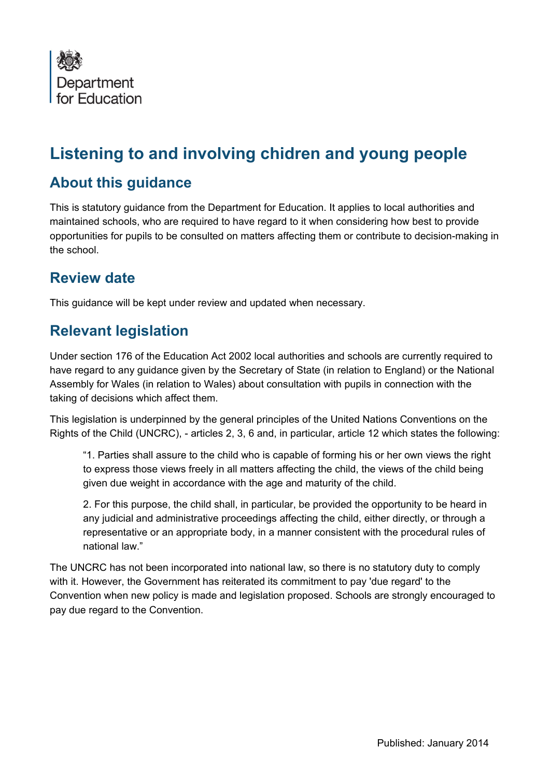

# **Listening to and involving chidren and young people**

#### **About this guidance**

This is statutory guidance from the Department for Education. It applies to local authorities and maintained schools, who are required to have regard to it when considering how best to provide opportunities for pupils to be consulted on matters affecting them or contribute to decision-making in the school.

#### **Review date**

This guidance will be kept under review and updated when necessary.

## **Relevant legislation**

Under section 176 of the Education Act 2002 local authorities and schools are currently required to have regard to any guidance given by the Secretary of State (in relation to England) or the National Assembly for Wales (in relation to Wales) about consultation with pupils in connection with the taking of decisions which affect them.

This legislation is underpinned by the general principles of the United Nations Conventions on the Rights of the Child (UNCRC), - articles 2, 3, 6 and, in particular, article 12 which states the following:

"1. Parties shall assure to the child who is capable of forming his or her own views the right to express those views freely in all matters affecting the child, the views of the child being given due weight in accordance with the age and maturity of the child.

2. For this purpose, the child shall, in particular, be provided the opportunity to be heard in any judicial and administrative proceedings affecting the child, either directly, or through a representative or an appropriate body, in a manner consistent with the procedural rules of national law."

The UNCRC has not been incorporated into national law, so there is no statutory duty to comply with it. However, the Government has reiterated its commitment to pay 'due regard' to the Convention when new policy is made and legislation proposed. Schools are strongly encouraged to pay due regard to the Convention.